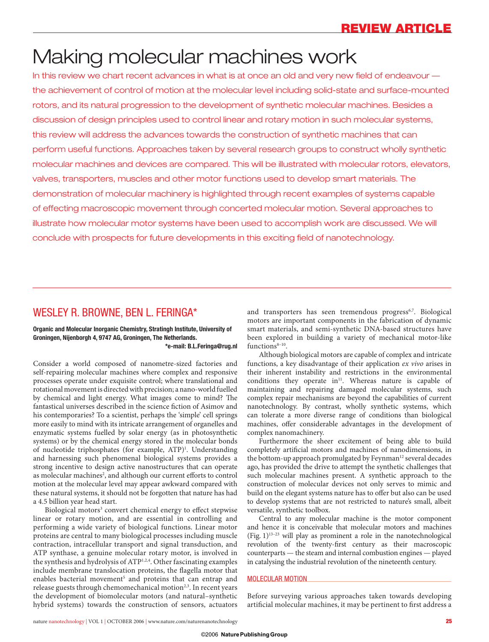# Making molecular machines work

In this review we chart recent advances in what is at once an old and very new field of endeavour the achievement of control of motion at the molecular level including solid-state and surface-mounted rotors, and its natural progression to the development of synthetic molecular machines. Besides a discussion of design principles used to control linear and rotary motion in such molecular systems, this review will address the advances towards the construction of synthetic machines that can perform useful functions. Approaches taken by several research groups to construct wholly synthetic molecular machines and devices are compared. This will be illustrated with molecular rotors, elevators, valves, transporters, muscles and other motor functions used to develop smart materials. The demonstration of molecular machinery is highlighted through recent examples of systems capable of effecting macroscopic movement through concerted molecular motion. Several approaches to illustrate how molecular motor systems have been used to accomplish work are discussed. We will conclude with prospects for future developments in this exciting field of nanotechnology.

### WESLEY R. BROWNE, BEN L. FERINGA\*

### **Organic and Molecular Inorganic Chemistry, Stratingh Institute, University of Groningen, Nijenborgh 4, 9747 AG, Groningen, The Netherlands.**

**\*e-mail: B.L.Feringa@rug.nl**

Consider a world composed of nanometre-sized factories and self-repairing molecular machines where complex and responsive processes operate under exquisite control; where translational and rotational movement is directed with precision; a nano-world fuelled by chemical and light energy. What images come to mind? The fantastical universes described in the science fiction of Asimov and his contemporaries? To a scientist, perhaps the 'simple' cell springs more easily to mind with its intricate arrangement of organelles and enzymatic systems fuelled by solar energy (as in photosynthetic systems) or by the chemical energy stored in the molecular bonds of nucleotide triphosphates (for example, ATP)<sup>1</sup>. Understanding and harnessing such phenomenal biological systems provides a strong incentive to design active nanostructures that can operate as molecular machines<sup>2</sup>, and although our current efforts to control motion at the molecular level may appear awkward compared with these natural systems, it should not be forgotten that nature has had a 4.5 billion year head start.

Biological motors<sup>3</sup> convert chemical energy to effect stepwise linear or rotary motion, and are essential in controlling and performing a wide variety of biological functions. Linear motor proteins are central to many biological processes including muscle contraction, intracellular transport and signal transduction, and ATP synthase, a genuine molecular rotary motor, is involved in the synthesis and hydrolysis of ATP1,2,4. Other fascinating examples include membrane translocation proteins, the flagella motor that enables bacterial movement<sup>5</sup> and proteins that can entrap and release guests through chemomechanical motion<sup>2,3</sup>. In recent years the development of biomolecular motors (and natural–synthetic hybrid systems) towards the construction of sensors, actuators

and transporters has seen tremendous progress<sup>6,7</sup>. Biological motors are important components in the fabrication of dynamic smart materials, and semi-synthetic DNA-based structures have been explored in building a variety of mechanical motor-like functions $8-10$ .

Although biological motors are capable of complex and intricate functions, a key disadvantage of their application *ex vivo* arises in their inherent instability and restrictions in the environmental conditions they operate in $11$ . Whereas nature is capable of maintaining and repairing damaged molecular systems, such complex repair mechanisms are beyond the capabilities of current nanotechnology. By contrast, wholly synthetic systems, which can tolerate a more diverse range of conditions than biological machines, offer considerable advantages in the development of complex nanomachinery.

Furthermore the sheer excitement of being able to build completely artificial motors and machines of nanodimensions, in the bottom-up approach promulgated by Feynman<sup>12</sup> several decades ago, has provided the drive to attempt the synthetic challenges that such molecular machines present. A synthetic approach to the construction of molecular devices not only serves to mimic and build on the elegant systems nature has to offer but also can be used to develop systems that are not restricted to nature's small, albeit versatile, synthetic toolbox.

Central to any molecular machine is the motor component and hence it is conceivable that molecular motors and machines (Fig.  $1$ )<sup>13–23</sup> will play as prominent a role in the nanotechnological revolution of the twenty-first century as their macroscopic counterparts — the steam and internal combustion engines — played in catalysing the industrial revolution of the nineteenth century.

#### MOLECULAR MOTION

Before surveying various approaches taken towards developing artificial molecular machines, it may be pertinent to first address a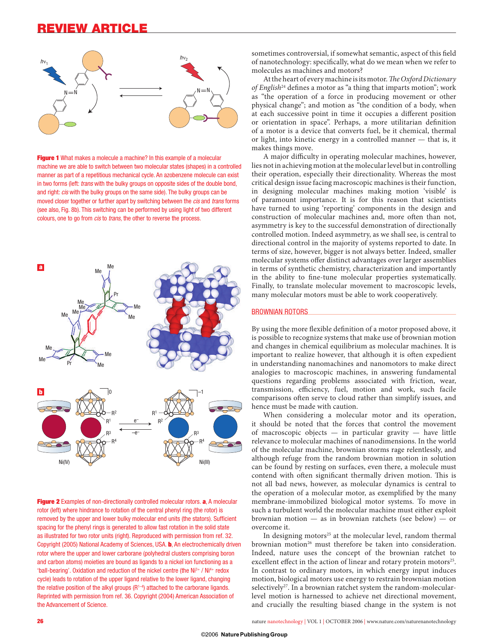

**Figure 1** What makes a molecule a machine? In this example of a molecular machine we are able to switch between two molecular states (shapes) in a controlled manner as part of a repetitious mechanical cycle. An azobenzene molecule can exist in two forms (left: *trans* with the bulky groups on opposite sides of the double bond, and right: *cis* with the bulky groups on the same side). The bulky groups can be moved closer together or further apart by switching between the *cis* and *trans* forms (see also, Fig. 8b). This switching can be performed by using light of two different colours, one to go from *cis* to *trans*, the other to reverse the process.



**Figure 2** Examples of non-directionally controlled molecular rotors. **a**, A molecular rotor (left) where hindrance to rotation of the central phenyl ring (the rotor) is removed by the upper and lower bulky molecular end units (the stators). Sufficient spacing for the phenyl rings is generated to allow fast rotation in the solid state as illustrated for two rotor units (right). Reproduced with permission from ref. 32. Copyright (2005) National Academy of Sciences, USA. **b**, An electrochemically driven rotor where the upper and lower carborane (polyhedral clusters comprising boron and carbon atoms) moieties are bound as ligands to a nickel ion functioning as a 'ball-bearing'. Oxidation and reduction of the nickel centre (the Ni3+ / Ni4+ redox cycle) leads to rotation of the upper ligand relative to the lower ligand, changing the relative position of the alkyl groups  $(R^{1-4})$  attached to the carborane ligands. Reprinted with permission from ref. 36. Copyright (2004) American Association of the Advancement of Science.

sometimes controversial, if somewhat semantic, aspect of this field of nanotechnology: specifically, what do we mean when we refer to molecules as machines and motors?

At the heart of every machine is its motor. *The Oxford Dictionary of English*<sup>24</sup> defines a motor as "a thing that imparts motion"; work as "the operation of a force in producing movement or other physical change"; and motion as "the condition of a body, when at each successive point in time it occupies a different position or orientation in space". Perhaps, a more utilitarian definition of a motor is a device that converts fuel, be it chemical, thermal or light, into kinetic energy in a controlled manner — that is, it makes things move.

A major difficulty in operating molecular machines, however, lies not in achieving motion at the molecular level but in controlling their operation, especially their directionality. Whereas the most critical design issue facing macroscopic machines is their function, in designing molecular machines making motion 'visible' is of paramount importance. It is for this reason that scientists have turned to using 'reporting' components in the design and construction of molecular machines and, more often than not, asymmetry is key to the successful demonstration of directionally controlled motion. Indeed asymmetry, as we shall see, is central to directional control in the majority of systems reported to date. In terms of size, however, bigger is not always better. Indeed, smaller molecular systems offer distinct advantages over larger assemblies in terms of synthetic chemistry, characterization and importantly in the ability to fine-tune molecular properties systematically. Finally, to translate molecular movement to macroscopic levels, many molecular motors must be able to work cooperatively.

#### BROWNIAN ROTORS

By using the more flexible definition of a motor proposed above, it is possible to recognize systems that make use of brownian motion and changes in chemical equilibrium as molecular machines. It is important to realize however, that although it is often expedient in understanding nanomachines and nanomotors to make direct analogies to macroscopic machines, in answering fundamental questions regarding problems associated with friction, wear, transmission, efficiency, fuel, motion and work, such facile comparisons often serve to cloud rather than simplify issues, and hence must be made with caution.

When considering a molecular motor and its operation, it should be noted that the forces that control the movement of macroscopic objects  $-$  in particular gravity  $-$  have little relevance to molecular machines of nanodimensions. In the world of the molecular machine, brownian storms rage relentlessly, and although refuge from the random brownian motion in solution can be found by resting on surfaces, even there, a molecule must contend with often significant thermally driven motion. This is not all bad news, however, as molecular dynamics is central to the operation of a molecular motor, as exemplified by the many membrane-immobilized biological motor systems. To move in such a turbulent world the molecular machine must either exploit brownian motion — as in brownian ratchets (see below) — or overcome it.

In designing motors<sup>25</sup> at the molecular level, random thermal brownian motion<sup>26</sup> must therefore be taken into consideration. Indeed, nature uses the concept of the brownian ratchet to excellent effect in the action of linear and rotary protein motors<sup>25</sup>. In contrast to ordinary motors, in which energy input induces motion, biological motors use energy to restrain brownian motion selectively<sup>27</sup>. In a brownian ratchet system the random-molecularlevel motion is harnessed to achieve net directional movement, and crucially the resulting biased change in the system is not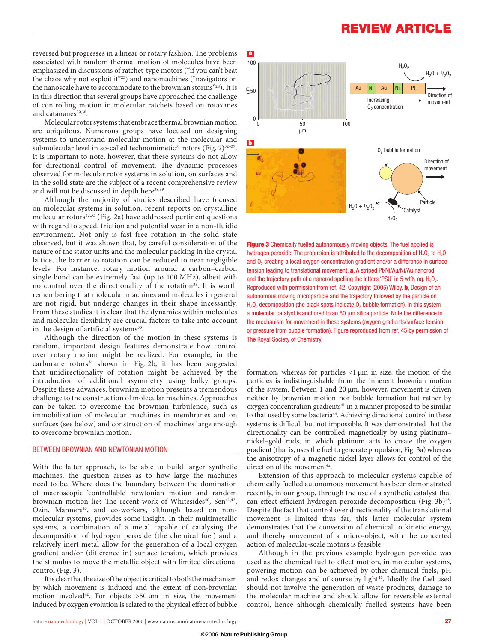reversed but progresses in a linear or rotary fashion. The problems associated with random thermal motion of molecules have been emphasized in discussions of ratchet-type motors ("if you can't beat the chaos why not exploit it"25) and nanomachines ("navigators on the nanoscale have to accommodate to the brownian storms"28). It is in this direction that several groups have approached the challenge of controlling motion in molecular ratchets based on rotaxanes and catananes<sup>29,30</sup>.

Molecular rotor systems that embrace thermal brownian motion are ubiquitous. Numerous groups have focused on designing systems to understand molecular motion at the molecular and submolecular level in so-called technomimetic<sup>31</sup> rotors (Fig. 2)<sup>32-37</sup>. It is important to note, however, that these systems do not allow for directional control of movement. The dynamic processes observed for molecular rotor systems in solution, on surfaces and in the solid state are the subject of a recent comprehensive review and will not be discussed in depth here<sup>38,39</sup>.

Although the majority of studies described have focused on molecular systems in solution, recent reports on crystalline molecular rotors $32,33$  (Fig. 2a) have addressed pertinent questions with regard to speed, friction and potential wear in a non-fluidic environment. Not only is fast free rotation in the solid state observed, but it was shown that, by careful consideration of the nature of the stator units and the molecular packing in the crystal lattice, the barrier to rotation can be reduced to near negligible levels. For instance, rotary motion around a carbon–carbon single bond can be extremely fast (up to 100 MHz), albeit with no control over the directionality of the rotation<sup>33</sup>. It is worth remembering that molecular machines and molecules in general are not rigid, but undergo changes in their shape incessantly. From these studies it is clear that the dynamics within molecules and molecular flexibility are crucial factors to take into account in the design of artificial systems<sup>35</sup>.

Although the direction of the motion in these systems is random, important design features demonstrate how control over rotary motion might be realized. For example, in the carborane rotors<sup>36</sup> shown in Fig. 2b, it has been suggested that unidirectionality of rotation might be achieved by the introduction of additional asymmetry using bulky groups. Despite these advances, brownian motion presents a tremendous challenge to the construction of molecular machines. Approaches can be taken to overcome the brownian turbulence, such as immobilization of molecular machines in membranes and on surfaces (see below) and construction of machines large enough to overcome brownian motion.

#### BETWEEN BROWNIAN AND NEWTONIAN MOTION

With the latter approach, to be able to build larger synthetic machines, the question arises as to how large the machines need to be. Where does the boundary between the domination of macroscopic 'controllable' newtonian motion and random brownian motion lie? The recent work of Whitesides<sup>40</sup>, Sen<sup>41,42</sup>, Ozin, Manners<sup>43</sup>, and co-workers, although based on nonmolecular systems, provides some insight. In their multimetallic systems, a combination of a metal capable of catalysing the decomposition of hydrogen peroxide (the chemical fuel) and a relatively inert metal allow for the generation of a local oxygen gradient and/or (difference in) surface tension, which provides the stimulus to move the metallic object with limited directional control (Fig. 3).

It is clear that the size of the object is critical to both the mechanism by which movement is induced and the extent of non-brownian motion involved<sup>42</sup>. For objects  $>50 \mu m$  in size, the movement induced by oxygen evolution is related to the physical effect of bubble



**Figure 3** Chemically fuelled autonomously moving objects. The fuel applied is hydrogen peroxide. The propulsion is attributed to the decomposition of H<sub>2</sub>O<sub>2</sub> to H<sub>2</sub>O and O<sub>2</sub> creating a local oxygen concentration gradient and/or a difference in surface tension leading to translational movement. **a**, A striped Pt/Ni/Au/Ni/Au nanorod and the trajectory path of a nanorod spelling the letters 'PSU' in 5 wt% ag.  $H_2O_2$ . Reproduced with permission from ref. 42. Copyright (2005) Wiley. **b**, Design of an autonomous moving microparticle and the trajectory followed by the particle on H<sub>2</sub>O<sub>2</sub> decomposition (the black spots indicate O<sub>2</sub> bubble formation). In this system a molecular catalyst is anchored to an 80  $\mu$ m silica particle. Note the difference in the mechanism for movement in these systems (oxygen gradients/surface tension or pressure from bubble formation). Figure reproduced from ref. 45 by permission of The Royal Society of Chemistry.

formation, whereas for particles <1 µm in size, the motion of the particles is indistinguishable from the inherent brownian motion of the system. Between 1 and 20  $\mu$ m, however, movement is driven neither by brownian motion nor bubble formation but rather by oxygen concentration gradients<sup>41</sup> in a manner proposed to be similar to that used by some bacteria<sup>44</sup>. Achieving directional control in these systems is difficult but not impossible. It was demonstrated that the directionality can be controlled magnetically by using platinum– nickel–gold rods, in which platinum acts to create the oxygen gradient (that is, uses the fuel to generate propulsion, Fig. 3a) whereas the anisotropy of a magnetic nickel layer allows for control of the direction of the movement<sup>42</sup>.

Extension of this approach to molecular systems capable of chemically fuelled autonomous movement has been demonstrated recently, in our group, through the use of a synthetic catalyst that can effect efficient hydrogen peroxide decomposition (Fig. 3b)<sup>45</sup>. Despite the fact that control over directionality of the translational movement is limited thus far, this latter molecular system demonstrates that the conversion of chemical to kinetic energy, and thereby movement of a micro-object, with the concerted action of molecular-scale motors is feasible.

Although in the previous example hydrogen peroxide was used as the chemical fuel to effect motion, in molecular systems, powering motion can be achieved by other chemical fuels, pH and redox changes and of course by light<sup>46</sup>. Ideally the fuel used should not involve the generation of waste products, damage to the molecular machine and should allow for reversible external control, hence although chemically fuelled systems have been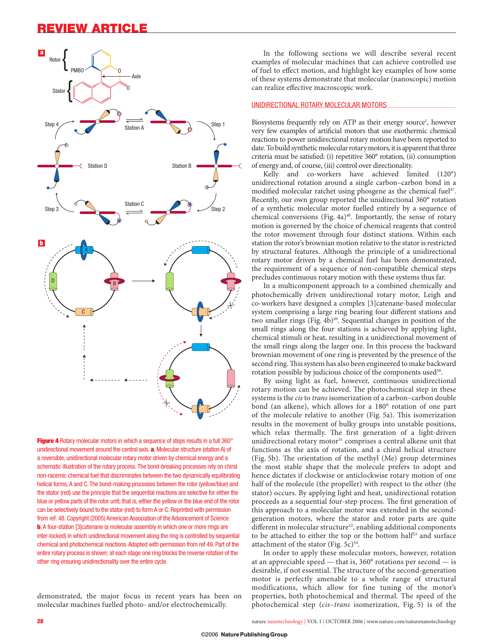

**Figure 4** Rotary molecular motors in which a sequence of steps results in a full 360° unidirectional movement around the central axis. **a**, Molecular structure (station A) of a reversible, unidirectional molecular rotary motor driven by chemical energy and a schematic illustration of the rotary process. The bond-breaking processes rely on chiral non-racemic chemical fuel that discriminates between the two dynamically equilibrating helical forms, A and C. The bond-making processes between the rotor (yellow/blue) and the stator (red) use the principle that the sequential reactions are selective for either the blue or yellow parts of the rotor unit; that is, either the yellow or the blue end of the rotor can be selectively bound to the stator (red) to form A or C. Reprinted with permission from ref. 48. Copyright (2005) American Association of the Advancement of Science. **b**, A four-station [3]catenane (a molecular assembly in which one or more rings are inter-locked) in which unidirectional movement along the ring is controlled by sequential chemical and photochemical reactions. Adapted with permission from ref 49. Part of the entire rotary process is shown; at each stage one ring blocks the reverse rotation of the other ring ensuring unidirectionality over the entire cycle.

demonstrated, the major focus in recent years has been on molecular machines fuelled photo- and/or electrochemically.

In the following sections we will describe several recent examples of molecular machines that can achieve controlled use of fuel to effect motion, and highlight key examples of how some of these systems demonstrate that molecular (nanoscopic) motion can realize effective macroscopic work.

#### UNIDIRECTIONAL ROTARY MOLECULAR MOTORS

Biosystems frequently rely on ATP as their energy source<sup>1</sup>, however very few examples of artificial motors that use exothermic chemical reactions to power unidirectional rotary motion have been reported to date. To build synthetic molecular rotary motors, it is apparent that three criteria must be satisfied: (i) repetitive 360° rotation, (ii) consumption of energy and, of course, (iii) control over directionality.

Kelly and co-workers have achieved limited (120°) unidirectional rotation around a single carbon–carbon bond in a modified molecular ratchet using phosgene as the chemical fuel<sup>47</sup>. Recently, our own group reported the unidirectional 360° rotation of a synthetic molecular motor fuelled entirely by a sequence of chemical conversions (Fig. 4a)<sup>48</sup>. Importantly, the sense of rotary motion is governed by the choice of chemical reagents that control the rotor movement through four distinct stations. Within each station the rotor's brownian motion relative to the stator is restricted by structural features. Although the principle of a unidirectional rotary motor driven by a chemical fuel has been demonstrated, the requirement of a sequence of non-compatible chemical steps precludes continuous rotary motion with these systems thus far.

In a multicomponent approach to a combined chemically and photochemically driven unidirectional rotary motor, Leigh and co-workers have designed a complex [3]catenane-based molecular system comprising a large ring bearing four different stations and two smaller rings (Fig. 4b)<sup>49</sup>. Sequential changes in position of the small rings along the four stations is achieved by applying light, chemical stimuli or heat, resulting in a unidirectional movement of the small rings along the larger one. In this process the backward brownian movement of one ring is prevented by the presence of the second ring. This system has also been engineered to make backward rotation possible by judicious choice of the components used<sup>50</sup>.

By using light as fuel, however, continuous unidirectional rotary motion can be achieved. The photochemical step in these systems is the *cis* to *trans* isomerization of a carbon–carbon double bond (an alkene), which allows for a 180° rotation of one part of the molecule relative to another (Fig. 5a). This isomerization results in the movement of bulky groups into unstable positions, which relax thermally. The first generation of a light-driven unidirectional rotary motor<sup>51</sup> comprises a central alkene unit that functions as the axis of rotation, and a chiral helical structure (Fig. 5b). The orientation of the methyl (Me) group determines the most stable shape that the molecule prefers to adopt and hence dictates if clockwise or anticlockwise rotary motion of one half of the molecule (the propeller) with respect to the other (the stator) occurs. By applying light and heat, unidirectional rotation proceeds as a sequential four-step process. The first generation of this approach to a molecular motor was extended in the secondgeneration motors, where the stator and rotor parts are quite different in molecular structure<sup>52</sup>, enabling additional components to be attached to either the top or the bottom half<sup>53</sup> and surface attachment of the stator (Fig.  $5c$ )<sup>54</sup>.

In order to apply these molecular motors, however, rotation at an appreciable speed — that is, 360° rotations per second — is desirable, if not essential. The structure of the second-generation motor is perfectly amenable to a whole range of structural modifications, which allow for fine tuning of the motor's properties, both photochemical and thermal. The speed of the photochemical step (*cis*–*trans* isomerization, Fig. 5) is of the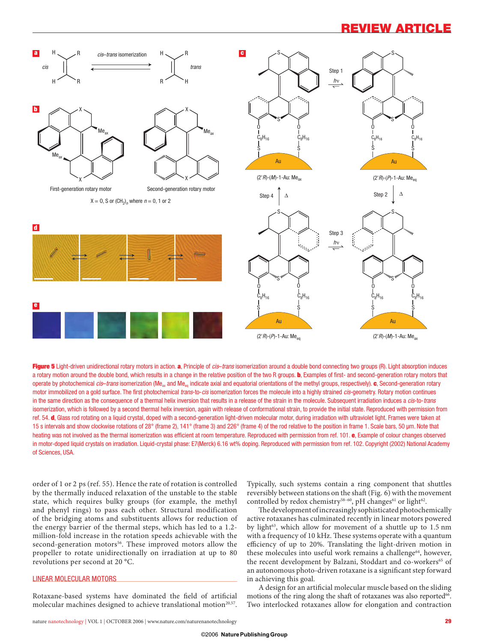

**Figure 5** Light-driven unidirectional rotary motors in action. **a**, Principle of *cis*–*trans* isomerization around a double bond connecting two groups (R). Light absorption induces a rotary motion around the double bond, which results in a change in the relative position of the two R groups. **b**, Examples of first- and second-generation rotary motors that operate by photochemical *cis–trans* isomerization (Me<sub>ax</sub> and Me<sub>en</sub> indicate axial and equatorial orientations of the methyl groups, respectively). **c**, Second-generation rotary motor immobilized on a gold surface. The first photochemical *trans*-to-*cis* isomerization forces the molecule into a highly strained *cis*-geometry. Rotary motion continues in the same direction as the consequence of a thermal helix inversion that results in a release of the strain in the molecule. Subsequent irradiation induces a *cis*-to-*trans* isomerization, which is followed by a second thermal helix inversion, again with release of conformational strain, to provide the initial state. Reproduced with permission from ref. 54. **d**, Glass rod rotating on a liquid crystal, doped with a second-generation light-driven molecular motor, during irradiation with ultraviolet light. Frames were taken at 15 s intervals and show clockwise rotations of 28° (frame 2), 141° (frame 3) and 226° (frame 4) of the rod relative to the position in frame 1. Scale bars, 50 µm. Note that heating was not involved as the thermal isomerization was efficient at room temperature. Reproduced with permission from ref. 101. **e**, Example of colour changes observed in motor-doped liquid crystals on irradiation. Liquid-crystal phase: E7(Merck) 6.16 wt% doping. Reproduced with permission from ref. 102. Copyright (2002) National Academy of Sciences, USA.

order of 1 or 2 ps (ref. 55). Hence the rate of rotation is controlled by the thermally induced relaxation of the unstable to the stable state, which requires bulky groups (for example, the methyl and phenyl rings) to pass each other. Structural modification of the bridging atoms and substituents allows for reduction of the energy barrier of the thermal steps, which has led to a 1.2 million-fold increase in the rotation speeds achievable with the second-generation motors<sup>56</sup>. These improved motors allow the propeller to rotate unidirectionally on irradiation at up to 80 revolutions per second at 20 °C.

#### LINEAR MOLECULAR MOTORS

Rotaxane-based systems have dominated the field of artificial molecular machines designed to achieve translational motion<sup>20,57</sup>.

nature nanotechnology | VOL 1 | OCTOBER 2006 | www.nature.com/naturenanotechnology **29**

Typically, such systems contain a ring component that shuttles reversibly between stations on the shaft (Fig. 6) with the movement controlled by redox chemistry<sup>58-60</sup>, pH changes<sup>61</sup> or light<sup>62</sup>.

The development of increasingly sophisticated photochemically active rotaxanes has culminated recently in linear motors powered by light<sup>63</sup>, which allow for movement of a shuttle up to 1.5 nm with a frequency of 10 kHz. These systems operate with a quantum efficiency of up to 20%. Translating the light-driven motion in these molecules into useful work remains a challenge<sup>64</sup>, however, the recent development by Balzani, Stoddart and co-workers<sup>65</sup> of an autonomous photo-driven rotaxane is a significant step forward in achieving this goal.

A design for an artificial molecular muscle based on the sliding motions of the ring along the shaft of rotaxanes was also reported $66$ . Two interlocked rotaxanes allow for elongation and contraction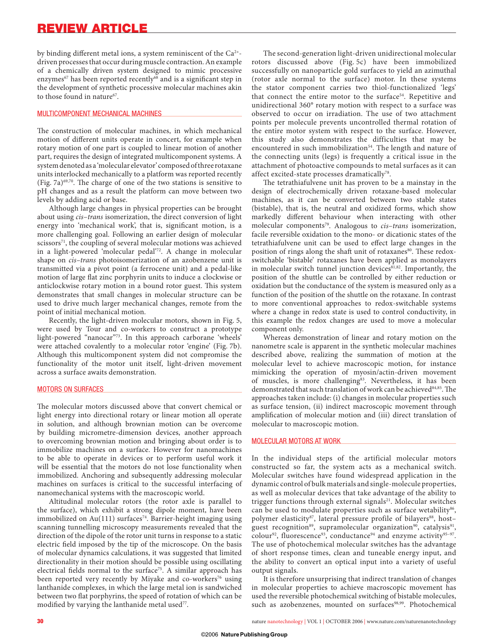by binding different metal ions, a system reminiscent of the  $Ca^{2+}$ driven processes that occur during muscle contraction. An example of a chemically driven system designed to mimic processive enzymes<sup>67</sup> has been reported recently<sup>68</sup> and is a significant step in the development of synthetic processive molecular machines akin to those found in nature<sup>67</sup>.

#### MULTICOMPONENT MECHANICAL MACHINES

The construction of molecular machines, in which mechanical motion of different units operate in concert, for example when rotary motion of one part is coupled to linear motion of another part, requires the design of integrated multicomponent systems. A system denoted as a 'molecular elevator' composed of three rotaxane units interlocked mechanically to a platform was reported recently (Fig. 7a) $69,70$ . The charge of one of the two stations is sensitive to pH changes and as a result the platform can move between two levels by adding acid or base.

Although large changes in physical properties can be brought about using *cis*–*trans* isomerization, the direct conversion of light energy into 'mechanical work', that is, significant motion, is a more challenging goal. Following an earlier design of molecular  $scissors<sup>71</sup>$ , the coupling of several molecular motions was achieved in a light-powered 'molecular pedal'72. A change in molecular shape on *cis–trans* photoisomerization of an azobenzene unit is transmitted via a pivot point (a ferrocene unit) and a pedal-like motion of large flat zinc porphyrin units to induce a clockwise or anticlockwise rotary motion in a bound rotor guest. This system demonstrates that small changes in molecular structure can be used to drive much larger mechanical changes, remote from the point of initial mechanical motion.

Recently, the light-driven molecular motors, shown in Fig. 5, were used by Tour and co-workers to construct a prototype light-powered "nanocar"73. In this approach carborane 'wheels' were attached covalently to a molecular rotor 'engine' (Fig. 7b). Although this multicomponent system did not compromise the functionality of the motor unit itself, light-driven movement across a surface awaits demonstration.

#### MOTORS ON SURFACES

The molecular motors discussed above that convert chemical or light energy into directional rotary or linear motion all operate in solution, and although brownian motion can be overcome by building micrometre-dimension devices, another approach to overcoming brownian motion and bringing about order is to immobilize machines on a surface. However for nanomachines to be able to operate in devices or to perform useful work it will be essential that the motors do not lose functionality when immobilized. Anchoring and subsequently addressing molecular machines on surfaces is critical to the successful interfacing of nanomechanical systems with the macroscopic world.

Altitudinal molecular rotors (the rotor axle is parallel to the surface), which exhibit a strong dipole moment, have been immobilized on  $Au(111)$  surfaces<sup>74</sup>. Barrier-height imaging using scanning tunnelling microscopy measurements revealed that the direction of the dipole of the rotor unit turns in response to a static electric field imposed by the tip of the microscope. On the basis of molecular dynamics calculations, it was suggested that limited directionality in their motion should be possible using oscillating electrical fields normal to the surface<sup>75</sup>. A similar approach has been reported very recently by Miyake and co-workers<sup>76</sup> using lanthanide complexes, in which the large metal ion is sandwiched between two flat porphyrins, the speed of rotation of which can be modified by varying the lanthanide metal used<sup>77</sup>.

The second-generation light-driven unidirectional molecular rotors discussed above (Fig. 5c) have been immobilized successfully on nanoparticle gold surfaces to yield an azimuthal (rotor axle normal to the surface) motor. In these systems the stator component carries two thiol-functionalized 'legs' that connect the entire motor to the surface<sup>54</sup>. Repetitive and unidirectional 360° rotary motion with respect to a surface was observed to occur on irradiation. The use of two attachment points per molecule prevents uncontrolled thermal rotation of the entire motor system with respect to the surface. However, this study also demonstrates the difficulties that may be encountered in such immobilization<sup>54</sup>. The length and nature of the connecting units (legs) is frequently a critical issue in the attachment of photoactive compounds to metal surfaces as it can affect excited-state processes dramatically<sup>78</sup>.

The tetrathiafulvene unit has proven to be a mainstay in the design of electrochemically driven rotaxane-based molecular machines, as it can be converted between two stable states (bistable), that is, the neutral and oxidized forms, which show markedly different behaviour when interacting with other molecular components<sup>79</sup>. Analogous to *cis-trans* isomerization, facile reversible oxidation to the mono- or dicationic states of the tetrathiafulvene unit can be used to effect large changes in the position of rings along the shaft unit of rotaxanes<sup>80</sup>. These redoxswitchable 'bistable' rotaxanes have been applied as monolayers in molecular switch tunnel junction devices<sup>81,82</sup>. Importantly, the position of the shuttle can be controlled by either reduction or oxidation but the conductance of the system is measured only as a function of the position of the shuttle on the rotaxane. In contrast to more conventional approaches to redox-switchable systems where a change in redox state is used to control conductivity, in this example the redox changes are used to move a molecular component only.

Whereas demonstration of linear and rotary motion on the nanometre scale is apparent in the synthetic molecular machines described above, realizing the summation of motion at the molecular level to achieve macroscopic motion, for instance mimicking the operation of myosin/actin-driven movement of muscles, is more challenging<sup>83</sup>. Nevertheless, it has been demonstrated that such translation of work can be achieved<sup>84,85</sup>. The approaches taken include: (i) changes in molecular properties such as surface tension, (ii) indirect macroscopic movement through amplification of molecular motion and (iii) direct translation of molecular to macroscopic motion.

#### MOLECULAR MOTORS AT WORK

In the individual steps of the artificial molecular motors constructed so far, the system acts as a mechanical switch. Molecular switches have found widespread application in the dynamic control of bulk materials and single-molecule properties, as well as molecular devices that take advantage of the ability to trigger functions through external signals<sup>21</sup>. Molecular switches can be used to modulate properties such as surface wetability<sup>86</sup>, polymer elasticity<sup>87</sup>, lateral pressure profile of bilayers<sup>88</sup>, hostguest recognition<sup>89</sup>, supramolecular organization<sup>90</sup>, catalysis<sup>91</sup>, colour<sup>92</sup>, fluorescence<sup>93</sup>, conductance<sup>94</sup> and enzyme activity<sup>95-97</sup>. The use of photochemical molecular switches has the advantage of short response times, clean and tuneable energy input, and the ability to convert an optical input into a variety of useful output signals.

It is therefore unsurprising that indirect translation of changes in molecular properties to achieve macroscopic movement has used the reversible photochemical switching of bistable molecules, such as azobenzenes, mounted on surfaces98,99. Photochemical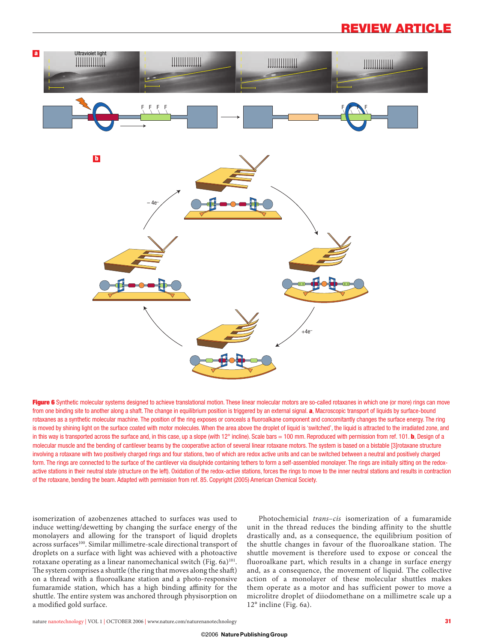

Figure 6 Synthetic molecular systems designed to achieve translational motion. These linear molecular motors are so-called rotaxanes in which one (or more) rings can move from one binding site to another along a shaft. The change in equilibrium position is triggered by an external signal. **a**, Macroscopic transport of liquids by surface-bound rotaxanes as a synthetic molecular machine. The position of the ring exposes or conceals a fluoroalkane component and concomitantly changes the surface energy. The ring is moved by shining light on the surface coated with motor molecules. When the area above the droplet of liquid is 'switched', the liquid is attracted to the irradiated zone, and in this way is transported across the surface and, in this case, up a slope (with 12° incline). Scale bars = 100 mm. Reproduced with permission from ref. 101. **b**, Design of a molecular muscle and the bending of cantilever beams by the cooperative action of several linear rotaxane motors. The system is based on a bistable [3]rotaxane structure involving a rotaxane with two positively charged rings and four stations, two of which are redox active units and can be switched between a neutral and positively charged form. The rings are connected to the surface of the cantilever via disulphide containing tethers to form a self-assembled monolayer. The rings are initially sitting on the redoxactive stations in their neutral state (structure on the left). Oxidation of the redox-active stations, forces the rings to move to the inner neutral stations and results in contraction of the rotaxane, bending the beam. Adapted with permission from ref. 85. Copyright (2005) American Chemical Society.

isomerization of azobenzenes attached to surfaces was used to induce wetting/dewetting by changing the surface energy of the monolayers and allowing for the transport of liquid droplets across surfaces<sup>100</sup>. Similar millimetre-scale directional transport of droplets on a surface with light was achieved with a photoactive rotaxane operating as a linear nanomechanical switch (Fig. 6a)<sup>101</sup>. The system comprises a shuttle (the ring that moves along the shaft) on a thread with a fluoroalkane station and a photo-responsive fumaramide station, which has a high binding affinity for the shuttle. The entire system was anchored through physisorption on a modified gold surface.

Photochemicial *trans*–*cis* isomerization of a fumaramide unit in the thread reduces the binding affinity to the shuttle drastically and, as a consequence, the equilibrium position of the shuttle changes in favour of the fluoroalkane station. The shuttle movement is therefore used to expose or conceal the fluoroalkane part, which results in a change in surface energy and, as a consequence, the movement of liquid. The collective action of a monolayer of these molecular shuttles makes them operate as a motor and has sufficient power to move a microlitre droplet of diiodomethane on a millimetre scale up a 12° incline (Fig. 6a).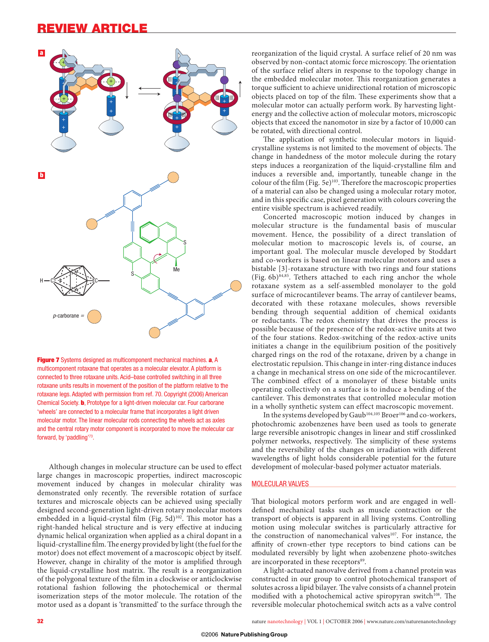

**Figure 7** Systems designed as multicomponent mechanical machines. **a**, A multicomponent rotaxane that operates as a molecular elevator. A platform is connected to three rotaxane units. Acid–base controlled switching in all three rotaxane units results in movement of the position of the platform relative to the rotaxane legs. Adapted with permission from ref. 70. Copyright (2006) American Chemical Society. **b**, Prototype for a light-driven molecular car. Four carborane 'wheels' are connected to a molecular frame that incorporates a light driven molecular motor. The linear molecular rods connecting the wheels act as axles and the central rotary motor component is incorporated to move the molecular car forward, by 'paddling'73.

Although changes in molecular structure can be used to effect large changes in macroscopic properties, indirect macroscopic movement induced by changes in molecular chirality was demonstrated only recently. The reversible rotation of surface textures and microscale objects can be achieved using specially designed second-generation light-driven rotary molecular motors embedded in a liquid-crystal film (Fig. 5d)<sup>102</sup>. This motor has a right-handed helical structure and is very effective at inducing dynamic helical organization when applied as a chiral dopant in a liquid-crystalline film. The energy provided by light (the fuel for the motor) does not effect movement of a macroscopic object by itself. However, change in chirality of the motor is amplified through the liquid-crystalline host matrix. The result is a reorganization of the polygonal texture of the film in a clockwise or anticlockwise rotational fashion following the photochemical or thermal isomerization steps of the motor molecule. The rotation of the motor used as a dopant is 'transmitted' to the surface through the

reorganization of the liquid crystal. A surface relief of 20 nm was observed by non-contact atomic force microscopy. The orientation of the surface relief alters in response to the topology change in the embedded molecular motor. This reorganization generates a torque sufficient to achieve unidirectional rotation of microscopic objects placed on top of the film. These experiments show that a molecular motor can actually perform work. By harvesting lightenergy and the collective action of molecular motors, microscopic objects that exceed the nanomotor in size by a factor of 10,000 can be rotated, with directional control.

The application of synthetic molecular motors in liquidcrystalline systems is not limited to the movement of objects. The change in handedness of the motor molecule during the rotary steps induces a reorganization of the liquid-crystalline film and induces a reversible and, importantly, tuneable change in the colour of the film (Fig. 5e)<sup>103</sup>. Therefore the macroscopic properties of a material can also be changed using a molecular rotary motor, and in this specific case, pixel generation with colours covering the entire visible spectrum is achieved readily.

Concerted macroscopic motion induced by changes in molecular structure is the fundamental basis of muscular movement. Hence, the possibility of a direct translation of molecular motion to macroscopic levels is, of course, an important goal. The molecular muscle developed by Stoddart and co-workers is based on linear molecular motors and uses a bistable [3]-rotaxane structure with two rings and four stations (Fig.  $6b$ )<sup>84,85</sup>. Tethers attached to each ring anchor the whole rotaxane system as a self-assembled monolayer to the gold surface of microcantilever beams. The array of cantilever beams, decorated with these rotaxane molecules, shows reversible bending through sequential addition of chemical oxidants or reductants. The redox chemistry that drives the process is possible because of the presence of the redox-active units at two of the four stations. Redox-switching of the redox-active units initiates a change in the equilibrium position of the positively charged rings on the rod of the rotaxane, driven by a change in electrostatic repulsion. This change in inter-ring distance induces a change in mechanical stress on one side of the microcantilever. The combined effect of a monolayer of these bistable units operating collectively on a surface is to induce a bending of the cantilever. This demonstrates that controlled molecular motion in a wholly synthetic system can effect macroscopic movement.

In the systems developed by Gaub<sup>104,105</sup> Broer<sup>106</sup> and co-workers, photochromic azobenzenes have been used as tools to generate large reversible anisotropic changes in linear and stiff crosslinked polymer networks, respectively. The simplicity of these systems and the reversibility of the changes on irradiation with different wavelengths of light holds considerable potential for the future development of molecular-based polymer actuator materials.

#### MOLECULAR VALVES

That biological motors perform work and are engaged in welldefined mechanical tasks such as muscle contraction or the transport of objects is apparent in all living systems. Controlling motion using molecular switches is particularly attractive for the construction of nanomechanical valves<sup>107</sup>. For instance, the affinity of crown-ether type receptors to bind cations can be modulated reversibly by light when azobenzene photo-switches are incorporated in these receptors<sup>89</sup>.

A light-actuated nanovalve derived from a channel protein was constructed in our group to control photochemical transport of solutes across a lipid bilayer. The valve consists of a channel protein modified with a photochemical active spiropyran switch<sup>108</sup>. The reversible molecular photochemical switch acts as a valve control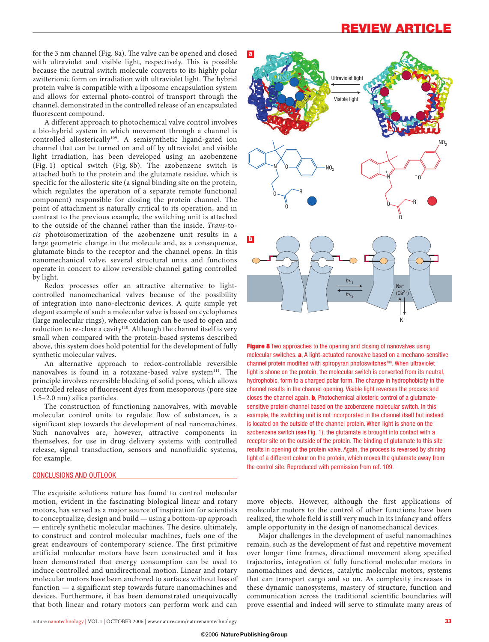for the 3 nm channel (Fig. 8a). The valve can be opened and closed with ultraviolet and visible light, respectively. This is possible because the neutral switch molecule converts to its highly polar zwitterionic form on irradiation with ultraviolet light. The hybrid protein valve is compatible with a liposome encapsulation system and allows for external photo-control of transport through the channel, demonstrated in the controlled release of an encapsulated fluorescent compound.

A different approach to photochemical valve control involves a bio-hybrid system in which movement through a channel is controlled allosterically<sup>109</sup>. A semisynthetic ligand-gated ion channel that can be turned on and off by ultraviolet and visible light irradiation, has been developed using an azobenzene (Fig. 1) optical switch (Fig. 8b). The azobenzene switch is attached both to the protein and the glutamate residue, which is specific for the allosteric site (a signal binding site on the protein, which regulates the operation of a separate remote functional component) responsible for closing the protein channel. The point of attachment is naturally critical to its operation, and in contrast to the previous example, the switching unit is attached to the outside of the channel rather than the inside. *Trans*-to*cis* photoisomerization of the azobenzene unit results in a large geometric change in the molecule and, as a consequence, glutamate binds to the receptor and the channel opens. In this nanomechanical valve, several structural units and functions operate in concert to allow reversible channel gating controlled by light.

Redox processes offer an attractive alternative to lightcontrolled nanomechanical valves because of the possibility of integration into nano-electronic devices. A quite simple yet elegant example of such a molecular valve is based on cyclophanes (large molecular rings), where oxidation can be used to open and reduction to re-close a cavity<sup>110</sup>. Although the channel itself is very small when compared with the protein-based systems described above, this system does hold potential for the development of fully synthetic molecular valves.

An alternative approach to redox-controllable reversible nanovalves is found in a rotaxane-based valve system<sup>111</sup>. The principle involves reversible blocking of solid pores, which allows controlled release of fluorescent dyes from mesoporous (pore size 1.5–2.0 nm) silica particles.

The construction of functioning nanovalves, with movable molecular control units to regulate flow of substances, is a significant step towards the development of real nanomachines. Such nanovalves are, however, attractive components in themselves, for use in drug delivery systems with controlled release, signal transduction, sensors and nanofluidic systems, for example.

#### CONCLUSIONS AND OUTLOOK

The exquisite solutions nature has found to control molecular motion, evident in the fascinating biological linear and rotary motors, has served as a major source of inspiration for scientists to conceptualize, design and build — using a bottom-up approach — entirely synthetic molecular machines. The desire, ultimately, to construct and control molecular machines, fuels one of the great endeavours of contemporary science. The first primitive artificial molecular motors have been constructed and it has been demonstrated that energy consumption can be used to induce controlled and unidirectional motion. Linear and rotary molecular motors have been anchored to surfaces without loss of function — a significant step towards future nanomachines and devices. Furthermore, it has been demonstrated unequivocally that both linear and rotary motors can perform work and can



**Figure 8** Two approaches to the opening and closing of nanovalves using molecular switches. **a**, A light-actuated nanovalve based on a mechano-sensitive channel protein modified with spiropyran photoswitches<sup>108</sup>. When ultraviolet light is shone on the protein, the molecular switch is converted from its neutral, hydrophobic, form to a charged polar form. The change in hydrophobicity in the channel results in the channel opening. Visible light reverses the process and closes the channel again. **b**, Photochemical allosteric control of a glutamatesensitive protein channel based on the azobenzene molecular switch. In this example, the switching unit is not incorporated in the channel itself but instead is located on the outside of the channel protein. When light is shone on the azobenzene switch (see Fig. 1), the glutamate is brought into contact with a receptor site on the outside of the protein. The binding of glutamate to this site results in opening of the protein valve. Again, the process is reversed by shining light of a different colour on the protein, which moves the glutamate away from the control site. Reproduced with permission from ref. 109.

move objects. However, although the first applications of molecular motors to the control of other functions have been realized, the whole field is still very much in its infancy and offers ample opportunity in the design of nanomechanical devices.

Major challenges in the development of useful nanomachines remain, such as the development of fast and repetitive movement over longer time frames, directional movement along specified trajectories, integration of fully functional molecular motors in nanomachines and devices, catalytic molecular motors, systems that can transport cargo and so on. As complexity increases in these dynamic nanosystems, mastery of structure, function and communication across the traditional scientific boundaries will prove essential and indeed will serve to stimulate many areas of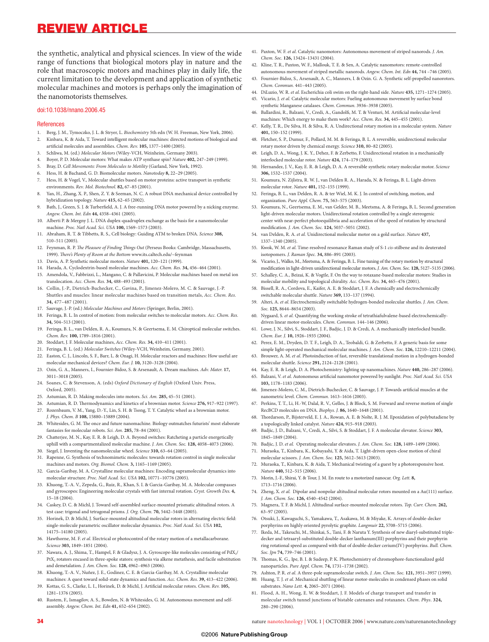the synthetic, analytical and physical sciences. In view of the wide range of functions that biological motors play in nature and the role that macroscopic motors and machines play in daily life, the current limitation to the development and application of synthetic molecular machines and motors is perhaps only the imagination of the nanomotorists themselves.

#### doi:10.1038/nnano.2006.45

#### **References**

- 1. Berg, J. M., Tymoczko, J. L. & Stryer, L. *Biochemistry* 5th edn (W. H. Freeman, New York, 2006).
- 2. Kinbara, K. & Aida, T. Toward intelligent molecular machines: directed motions of biological and artificial molecules and assemblies. *Chem. Rev.* 105, 1377-1400 (2005).
- 3. Schliwa, M. (ed.) *Molecular Motors* (Wiley-VCH, Weinheim, Germany 2003).
- 4. Boyer, P. D. Molecular motors: What makes ATP synthase spin? *Nature* **402,** 247–249 (1999).
- 5. Bray, D. *Cell Movements: From Molecules to Motility* (Garland, New York, 1992).
- 6. Hess, H. & Bachand, G. D. Biomolecular motors. *Nanotoday* **8,** 22–29 (2005).
- 7. Hess, H. & Vogel, V., Molecular shuttles based on motor proteins: active transport in synthetic environments. *Rev. Mol. Biotechnol.* **82,** 67–85 (2001).
- 8. Yan, H., Zhang, X. P., Shen, Z. Y. & Seeman, N. C. A robust DNA mechanical device controlled by hybridization topology. *Nature* **415,** 62–65 (2002).
- 9. Bath, J., Green, S. J. & Turberfield, A. J. A free-running DNA motor powered by a nicking enzyme *Angew. Chem. Int. Edn* **44,** 4358–4361 (2005).
- Alberti P. & Mergny J. L. DNA duplex-quadruplex exchange as the basis for a nanomolecular machine. *Proc. Natl Acad. Sci. USA* **100,** 1569–1573 (2003).
- 11. Abraham, R. T. & Tibbetts, R. S., Cell biology: Guiding ATM to broken DNA. *Science* **308,** 510–511 (2005).
- 12. Feynman, R. P. *The Pleasure of Finding Things Out* (Perseus Books: Cambridge, Massachusetts, 1999). There's Plenty of Room at the Bottom www.its.caltech.edu/~feynman
- 13. Davis, A. P. Synthetic molecular motors. *Nature* **401,** 120–121 (1999).
- 14. Harada, A. Cyclodextrin-based molecular machines. *Acc. Chem. Res.* **34,** 456–464 (2001).
- 15. Amendola, V., Fabbrizzi, L., Mangano, C. & Pallavicini, P. Molecular machines based on metal ion translocation. *Acc. Chem. Res.* **34,** 488–493 (2001).
- 16. Collin, J.-P., Dietrich-Buchecker, C., Gavina, P., Jimenez-Molero, M. C. & Sauvage, J.-P. Shuttles and muscles: linear molecular machines based on transition metals, *Acc. Chem. Res.* **34,** 477–487 (2001).
- 17. Sauvage, J.-P. (ed.) *Molecular Machines and Motors* (Springer, Berlin, 2001).
- 18. Feringa, B. L. In control of motion: from molecular switches to molecular motors. *Acc. Chem. Res.* **34,** 504–513 (2001).
- 19. Feringa, B. L., van Delden, R. A., Koumura, N. & Geertsema, E. M. Chiroptical molecular switches. *Chem. Rev.* **100,** 1789–1816 (2001).
- 20. Stoddart, J. F. Molecular machines, *Acc. Chem. Res.* **34,** 410–411 (2001).
- 21. Feringa, B. L. (ed.) *Molecular Switches* (Wiley-VCH, Weinheim, Germany, 2001).
- 22. Easton, C. J., Lincoln, S. F., Barr, L. & Onagi, H. Molecular reactors and machines: How useful are molecular mechanical devices? *Chem. Eur. J.* **10,** 3120–3128 (2004).
- 23. Ozin, G. A., Manners, I., Fournier-Bidoz, S. & Arsenault, A. Dream machines. *Adv. Mater.* **17,** 3011–3018 (2005).
- 24. Soanes, C. & Stevenson, A. (eds) *Oxford Dictionary of English* (Oxford Univ. Press, Oxford, 2005).
- 25. Astumian, R. D. Making molecules into motors. *Sci. Am.* **285,** 45–51 (2001).
- 26. Astumian, R. D. Thermodynamics and kinetics of a brownian motor. *Science* 276, 917-922 (1997).
- 27. Rozenbaum, V. M., Yang, D.-Y., Lin, S. H. & Tsong, T. Y. Catalytic wheel as a brownian motor. *J. Phys. Chem. B* **108,** 15880–15889 (2004).
- Whitesides, G. M. The once and future nanomachine. Biology outmatches futurists' most elaborate fantasies for molecular robots. *Sci. Am.* **285,** 78–84 (2001).
- 29. Chatterjee, M. N., Kay, E. R. & Leigh, D. A. Beyond switches: Ratcheting a particle energetically uphill with a compartmentalized molecular machine. *J. Am. Chem. Soc.* **128,** 4058–4073 (2006).
- 30. Siegel, J. Inventing the nanomolecular wheel. *Science* **310,** 63–64 (2005).
- 31. Rapenne, G. Synthesis of technomimetic molecules: towards rotation control in single molecular machines and motors. *Org. Biomol. Chem.* **3,** 1165–1169 (2005).
- 32. Garcia-Garibay, M. A. Crystalline molecular machines: Encoding supramolecular dynamics into molecular structure. *Proc. Natl Acad. Sci. USA* **102,** 10771–10776 (2005).
- 33. Khuong, T.-A. V., Zepeda, G., Ruiz, R., Khan, S. I. & Garcia-Garibay, M. A. Molecular compasses and gyroscopes: Engineering molecular crystals with fast internal rotation. *Cryst. Growth Des.* **4,** 15–18 (2004).
- 34. Caskey, D. C. & Michl, J. Toward self-assembled surface-mounted prismatic altitudinal rotors. A test case: trigonal and tetragonal prisms. *J. Org. Chem.* **70,** 5442–5448 (2005).
- 35. Horinek, D. & Michl, J. Surface-mounted altitudinal molecular rotors in alternating electric field: single-molecule parametric oscillator molecular dynamics. *Proc. Natl Acad. Sci. USA* **102,** 14175–14180 (2005).
- 36. Hawthorne, M. F. *et al*. Electrical or photocontrol of the rotary motion of a metallacarborane. *Science* **303,** 1849–1851 (2004).
- 37. Nawara, A. J., Shima, T., Hampel, F. & Gladysz, J. A. Gyroscope-like molecules consisting of PdX<sub>2</sub>/ PtX<sub>2</sub> rotators encased in three-spoke stators: synthesis via alkene metathesis, and facile substitution and demetalation. *J. Am. Chem. Soc.* **128,** 4962–4963 (2006).
- 38. Khuong, T.-A. V., Nuñez, J. E., Godinez, C. E. & Garcia-Garibay, M. A. Crystalline molecular
- machines: A quest toward solid-state dynamics and function. *Acc. Chem. Res*. **39,** 413–422 (2006). 39. Kottas, G. S., Clarke, L. I., Horinek, D. & Michl, J. Artifi cial molecular rotors. *Chem. Rev.* **105,** 1281–1376 (2005).
- 40. Rustem, F., Ismagilov, A. S., Bowden, N. & Whitesides, G. M. Autonomous movement and selfassembly. *Angew. Chem. Int. Edn* **41,** 652–654 (2002).
- 41. Paxton, W. F. *et al*. Catalytic nanomotors: Autonomous movement of striped nanorods. *J. Am. Chem. Soc*. **126,** 13424–13431 (2004).
- 42. Kline, T. R., Paxton, W. F. Mallouk, T. E. & Sen, A. Catalytic nanomotors: remote-controlled autonomous movement of striped metallic nanorods. *Angew. Chem. Int. Edn* **44,** 744 –746 (2005).
- 43. Fournier-Bidoz, S., Arsenault, A. C., Manners, I. & Ozin. G. A. Synthetic self-propelled nanorotors. *Chem. Commun.* 441–443 (2005).
- 44. DiLuzio, W. R. *et al*. Escherichia coli swim on the right-hand side. *Nature* **435,** 1271–1274 (2005). 45. Vicario, J. *et al.* Catalytic molecular motors: Fueling autonomous movement by surface bond
- synthetic Manganese catalases. *Chem*. *Commun*. 3936–3938 (2005). 46. Ballardini, R., Balzani, V., Credi, A., Gandolfi M. T. & Venturi, M. Artificial molecular-level
- machines: Which energy to make them work? *Acc. Chem. Res.* **34,** 445–455 (2001). 47. Kelly, T. R., De Silva, H. & Silva, R. A. Undirectional rotary motion in a molecular system. *Nature*
- **401,** 150–152 (1999).
- 48. Fletcher, S. P., Dumur, F., Pollard, M. M. & Feringa, B. L. A reversible, unidirectional molecular rotary motor driven by chemical energy. *Science* **310,** 80–82 (2005).
- 49. Leigh, D. A., Wong, J. K. Y., Dehez, F. & Zerbetto, F. Unidirectional rotation in a mechanically interlocked molecular rotor. *Nature* **424,** 174–179 (2003).
- 50. Hernandez, J. V., Kay, E. R. & Leigh, D. A. A reversible synthetic rotary molecular motor. *Science* **306,** 1532–1537 (2004).
- 51. Koumura, N. Zijlstra, R. W. J., van Delden R. A., Harada, N. & Feringa, B. L. Light-driven molecular rotor. *Nature* **401,** 152–155 (1999).
- 52. Feringa, B. L., van Delden, R. A. & ter Wiel, M. K. J. In control of switching, motion, and organization. *Pure Appl. Chem.* **75,** 563–575 (2003).
- 53. Koumura, N., Geertsema, E. M., van Gelder, M. B., Meetsma, A. & Feringa, B, L. Second generation light-driven molecular motors. Unidirectional rotation controlled by a single stereogenic center with near-perfect photoequilibria and acceleration of the speed of rotation by structural modifi cation. *J. Am. Chem. Soc.* **124,** 5037–5051 (2002).
- 54. van Delden, R. A. *et al.* Unidirectional molecular motor on a gold surface. *Nature* **437,** 1337–1340 (2005).
- 55. Kwok, W. M. *et al*. Time-resolved resonance Raman study of S-1 *cis*-stilbene and its deuterated isotopomers. *J. Raman Spec.* **34,** 886–891 (2003).
- 56. Vicario, J., Walko, M., Meetsma, A. & Feringa, B. L. Fine tuning of the rotary motion by structural modification in light-driven unidirectional molecular motors. *J. Am. Chem. Soc.* 128, 5127-5135 (2006).
- 57. Schalley, C. A., Beizai, K. & Vogtle, F. On the way to rotaxane-based molecular motors: Studies in molecular mobility and topological chirality. *Acc. Chem. Res.* **34,** 465–476 (2001).
- 58. Bissell, R. A., Cordova, E., Kaifer, A. E. & Stoddart, J. F. A chemically and electrochemically switchable molecular shuttle. *Nature* **369,** 133–137 (1994).
- 59. Alteri, A. *et al*. Electrochemically switchable hydrogen-bonded molecular shuttles. *J. Am. Chem. Soc.* **125,** 8644–8654 (2003).
- 60. Nygaard, S. *et al.* Quantifying the working stroke of tetrathiafulvalene-based electrochemicallydriven linear motor-molecules. *Chem. Commun*. 144–146 (2006).
- 61. Lowe, J. N., Silvi, S., Stoddart, J. F., Badjic, J. D. & Credi, A. A mechanically interlocked bundle. *Chem. Eur. J.* **10,** 1926–1935 (2004).
- 62. Perez, E. M., Dryden, D. T. F., Leigh, D. A., Teobaldi, G. & Zerbetto, F. A generic basis for some simple light-operated mechanical molecular machines. *J. Am. Chem. Soc.* **126,** 12210–12211 (2004).
- 63. Brouwer, A. M. *et al*. Photoinduction of fast, reversible translational motion in a hydrogen-bonded molecular shuttle. *Science* **291,** 2124–2128 (2001).
- 64. Kay, E. R. & Leigh, D. A. Photochemistry: lighting up nanomachines. *Nature* **440,** 286–287 (2006). 65. Balzani, V. et al. Autonomous artificial nanomotor powered by sunlight. Proc. Natl Acad. Sci. USA
- **103,** 1178–1183 (2006).
- 66. Jimenez-Molero, C. M., Dietrich-Buchecker, C. & Sauvage, J. P. Towards artificial muscles at the nanometric level. *Chem. Commun.* 1613–1616 (2003).
- 67. Perkins, T. T., Li, H.-W, Dalal, R. V., Gelles, J. & Block, S. M. Forward and reverse motion of single RecBCD molecules on DNA. *Biophys. J.* **86,** 1640–1648 (2001).
- 68. Thordarson, P., Bijsterveld, E. J. A., Rowan, A. E. & Nolte, R. J. M. Epoxidation of polybutadiene by a topologically linked catalyst. *Nature* **424,** 915–918 (2003).
- 69. Badjic, J. D., Balzani, V., Credi, A., Silvi, S. & Stoddart, J. F. A molecular elevator. *Science* **303,** 1845–1849 (2004).
- 70. Badjic, J. D. *et al.* Operating molecular elevators. *J. Am. Chem. Soc.* **128,** 1489–1499 (2006).
- 71. Muraoka, T., Kinbara, K., Kobayashi, Y. & Aida, T. Light-driven open-close motion of chiral molecular scissors. *J. Am. Chem. Soc.* **125,** 5612–5613 (2003).
- 72. Muraoka, T., Kinbara, K. & Aida, T. Mechanical twisting of a guest by a photoresponsive host. *Nature* **440,** 512–515 (2006).
- 73. Morin, J.-F., Shirai, Y. & Tour, J. M. En route to a motorized nanocar. *Org. Lett.* **8,** 1713–1716 (2006).
- 74. Zheng, X. *et al.* Dipolar and nonpolar altitudinal molecular rotors mounted on a Au(111) surface. *J. Am. Chem. Soc.* **126,** 4540–4542 (2004).
- 75. Magnera, T. F. & Michl, J. Altitudinal surface-mounted molecular rotors. *Top. Curr. Chem.* **262,** 63–97 (2005).
- 76. Otsuki, J., Kawaguchi, S., Yamakawa, T., Asakawa, M. & Miyake, K. Arrays of double-decker porphyrins on highly oriented pyrolytic graphite. *Langmuir* **22,** 5708–5715 (2006).
- 77. Ikeda, M., Takeuchi, M., Shinkai, S., Tani, F. & Naruta Y. Synthesis of new diaryl-substituted tripledecker and tetraaryl-substituted double-decker lanthanum(III) porphyrins and their porphyrin ring rotational speed as compared with that of double-decker cerium(IV) porphyrins. *Bull. Chem. Soc. Jpn* **74,** 739–746 (2001).
- 78. Thomas, K. G., Ipe, B. I. & Sudeep, P. K. Photochemistry of chromophore-functionalized gold nanoparticles. *Pure Appl. Chem.* **74,** 1731–1738 (2002).
- 79. Ashton, P. R. *et al*. A three-pole supramolecular switch. *J. Am. Chem. Soc.* **121,** 3951–3957 (1999).
- 80. Huang, T. J. *et al*. Mechanical shuttling of linear motor-molecules in condensed phases on solid substrates. *Nano Lett.* **4,** 2065–2071 (2004).
- 81. Flood, A. H., Wong, E. W. & Stoddart, J. F. Models of charge transport and transfer in molecular switch tunnel junctions of bistable catenanes and rotaxanes. *Chem. Phys*. **324,** 280–290 (2006).